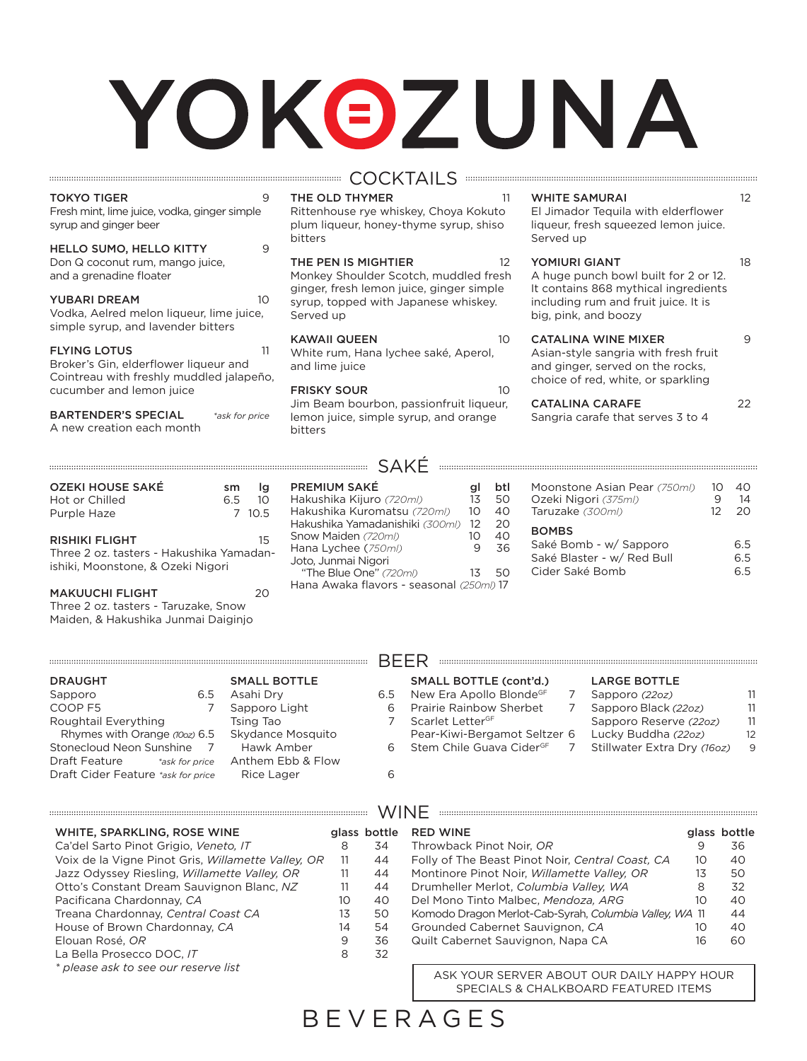# YOKOZUNA

| <b>TOKYO TIGER</b><br>Fresh mint, lime juice, vodka, ginger simple<br>syrup and ginger beer<br>HELLO SUMO, HELLO KITTY | 9<br>9                                          | THE OLD THYMER<br>Rittenhouse rye whiskey, Choya Kokuto<br>plum liqueur, honey-thyme syrup, shiso<br>bitters | 11                                |
|------------------------------------------------------------------------------------------------------------------------|-------------------------------------------------|--------------------------------------------------------------------------------------------------------------|-----------------------------------|
| Don Q coconut rum, mango juice,<br>and a grenadine floater                                                             |                                                 | THE PEN IS MIGHTIER<br>Monkey Shoulder Scotch, muddled fresh<br>ginger, fresh lemon juice, ginger simple     | $12^{1}$                          |
| <b>YUBARI DREAM</b><br>Vodka, Aelred melon liqueur, lime juice,<br>simple syrup, and lavender bitters                  | 10                                              | syrup, topped with Japanese whiskey.<br>Served up                                                            |                                   |
| <b>FLYING LOTUS</b><br>Broker's Gin, elderflower liqueur and<br>Cointreau with freshly muddled jalapeño,               | 11                                              | <b>KAWAII QUEEN</b><br>White rum, Hana lychee saké, Aperol,<br>and lime juice                                | 10                                |
| cucumber and lemon juice                                                                                               |                                                 | <b>FRISKY SOUR</b><br>Jim Beam bourbon, passionfruit liqueur,                                                | 10 <sup>2</sup>                   |
| <b>BARTENDER'S SPECIAL</b><br>A new creation each month                                                                | *ask for price                                  | lemon juice, simple syrup, and orange<br>bitters                                                             |                                   |
|                                                                                                                        |                                                 |                                                                                                              |                                   |
| <b>OZEKI HOUSE SAKÉ</b><br>Hot or Chilled<br>Purple Haze                                                               | lg<br>sm<br>10 <sup>°</sup><br>6.5<br>7<br>10.5 | <b>PREMIUM SAKÉ</b><br>Hakushika Kijuro (720ml)<br>Hakushika Kuromatsu (720ml)                               | btl<br>gl<br>13<br>50<br>10<br>40 |

#### **COCKTAILS Expansion COCKTAILS**

#### WHITE SAMURAI 12

El Jimador Tequila with elderflower liqueur, fresh squeezed lemon juice. Served up

#### YOMIURI GIANT 18

A huge punch bowl built for 2 or 12. It contains 868 mythical ingredients including rum and fruit juice. It is big, pink, and boozy

#### CATALINA WINE MIXER 9

Asian-style sangria with fresh fruit and ginger, served on the rocks, choice of red, white, or sparkling

#### CATALINA CARAFE 22 Sangria carafe that serves 3 to 4

Moonstone Asian Pear *(750ml)* 10 40 Ozeki Nigori (375ml)

#### BOMBS

| <b>BOMBS</b>               |     |
|----------------------------|-----|
| Saké Bomb - w/ Sapporo     | 6.5 |
| Saké Blaster - w/ Red Bull | 6.5 |
| Cider Saké Bomb            | 6.5 |
|                            |     |

Taruzake *(300ml)* 12 20

| RISHIKI FLIGHT                          |  |
|-----------------------------------------|--|
| Three 2 oz. tasters - Hakushika Yamadan |  |

 $\ldots$ 

amadanishiki, Moonstone, & Ozeki Nigori

| <b>MAKUUCHI FLIGHT</b>               | 20 |
|--------------------------------------|----|
| Three 2 oz. tasters - Taruzake, Snow |    |
| Maiden, & Hakushika Junmai Daiginjo  |    |

| <b>PREMIUM SAKE</b>             | aı | DII |
|---------------------------------|----|-----|
| Hakushika Kijuro (720ml)        | 13 | 50  |
| Hakushika Kuromatsu (720ml)     | 10 | 40  |
| Hakushika Yamadanishiki (300ml) | 12 | 20  |
| Snow Maiden (720ml)             | 10 | 40  |
| Hana Lychee (750ml)             | 9  | 36  |
| Joto, Junmai Nigori             |    |     |
| "The Blue One" (720ml)          | 13 | 50  |
| $L = 0.0001$                    |    |     |

Hana Awaka flavors - seasonal *(250ml)* 17

| <b>DRAUGHT</b>                         |     | <b>SMALL BOTTLE</b> |     | <b>SMALL BOTTLE (cont'd.)</b>        | <b>LARGE BOTTLE</b>         |                   |
|----------------------------------------|-----|---------------------|-----|--------------------------------------|-----------------------------|-------------------|
| Sapporo                                | 6.5 | Asahi Dry           | 6.5 | New Era Apollo BlondeGF              | Sapporo (22oz)              | 11                |
| COOP F5                                |     | Sapporo Light       | 6   | Prairie Rainbow Sherbet              | Sapporo Black (22oz)        | 11                |
| Roughtail Everything                   |     | Tsing Tao           |     | Scarlet LetterGF                     | Sapporo Reserve (22oz)      | -11               |
| Rhymes with Orange (100z) 6.5          |     | Skydance Mosquito   |     | Pear-Kiwi-Bergamot Seltzer 6         | Lucky Buddha (22oz)         | $12 \overline{ }$ |
| Stonecloud Neon Sunshine               |     | Hawk Amber          | 6.  | Stem Chile Guava Cider <sup>GF</sup> | Stillwater Extra Dry (160z) | 9                 |
| <b>Draft Feature</b><br>*ask for price |     | Anthem Ebb & Flow   |     |                                      |                             |                   |
| Draft Cider Feature *ask for price     |     | Rice Lager          | 6   |                                      |                             |                   |
|                                        |     |                     |     |                                      |                             |                   |
|                                        |     |                     |     |                                      |                             |                   |

BEER

| WHITE, SPARKLING, ROSE WINE                        |    | glass bottle | <b>RED WINE</b> |
|----------------------------------------------------|----|--------------|-----------------|
| Ca'del Sarto Pinot Grigio, Veneto, IT              | 8  | 34           | Throwback       |
| Voix de la Vigne Pinot Gris, Willamette Valley, OR | 11 | 44           | Folly of The    |
| Jazz Odyssey Riesling, Willamette Valley, OR       | 11 | 44           | Montinore       |
| Otto's Constant Dream Sauvignon Blanc, NZ          | 11 | 44           | Drumheller      |
| Pacificana Chardonnay, CA                          | 10 | 40           | Del Mono T      |
| Treana Chardonnay, Central Coast CA                | 13 | 50           | Komodo Dra      |
| House of Brown Chardonnay, CA                      | 14 | 54           | Grounded        |
| Elouan Rosé, OR                                    | 9  | 36           | Quilt Caber     |
| La Bella Prosecco DOC, IT                          | 8  | 32           |                 |
| * please ask to see our reserve list               |    |              |                 |

## which is a substitution of the contract of  $\mathsf{W}\mathsf{INF}$  . The component contract of the contract of the contract of the contract of  $\mathsf{W}\mathsf{INF}$  . The component contract of the contract of the contract of the contract

#### glass bottle<br> $9$  36 Throwback Pinot Noir, *OR* 9 36 Folly of The Beast Pinot Noir, *Central Coast, CA* 10 40 Montinore Pinot Noir, *Willamette Valley, OR* 13 50 Drumheller Merlot, *Columbia Valley, WA* 8 32 Del Mono Tinto Malbec, *Mendoza, ARG* 10 40 Komodo Dragon Merlot-Cab-Syrah, Columbia Valley, WA 11 Grounded Cabernet Sauvignon, CA 10 40 Quilt Cabernet Sauvignon, Napa CA 16 16 60

ASK YOUR SERVER ABOUT OUR DAILY HAPPY HOUR SPECIALS & CHALKBOARD FEATURED ITEMS

BEVERAGES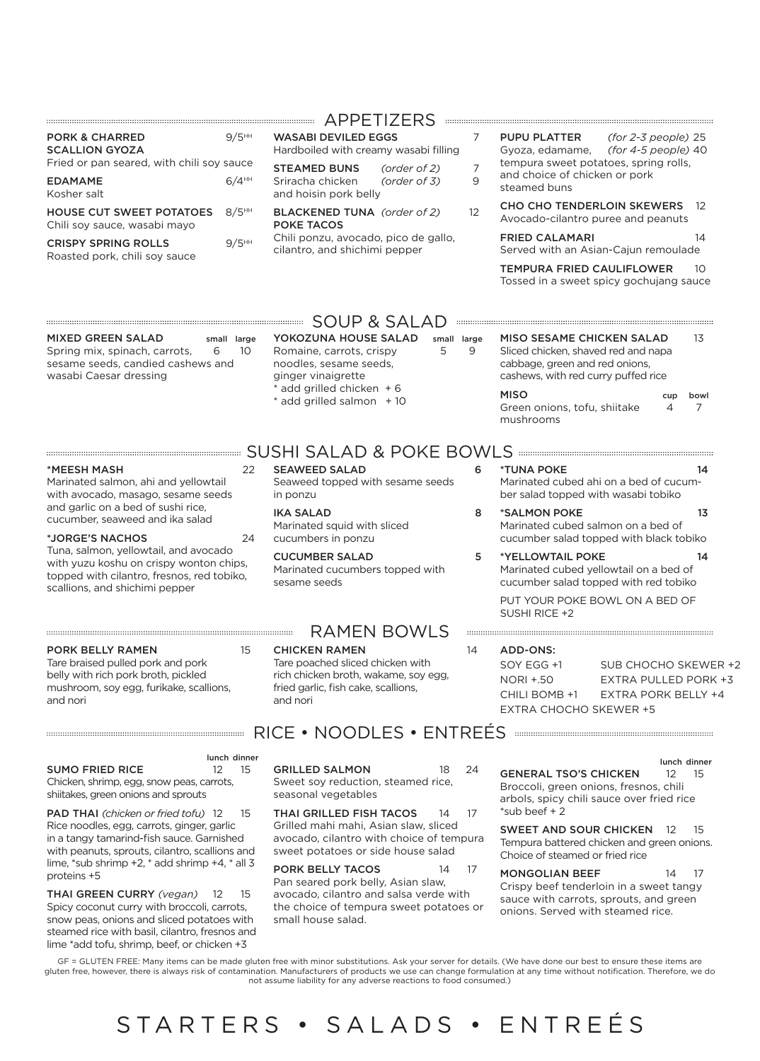| <b>PORK &amp; CHARRED</b><br><b>SCALLION GYOZA</b>              | $9/5$ <sup>HH</sup> | WA:<br>Hard       |
|-----------------------------------------------------------------|---------------------|-------------------|
| Fried or pan seared, with chili soy sauce                       |                     | <b>STE</b>        |
| <b>EDAMAME</b><br>Kosher salt                                   | $6/4$ <sup>HH</sup> | Srira<br>and      |
| <b>HOUSE CUT SWEET POTATOES</b><br>Chili soy sauce, wasabi mayo | $8/5$ <sup>HH</sup> | <b>BLA</b><br>POK |
| <b>CRISPY SPRING ROLLS</b><br>Roasted pork, chili soy sauce     | $9/5$ <sup>HH</sup> | Chil<br>cilar     |

#### APPETIZERS

SABI DEVILED EGGS 7 dboiled with creamy wasabi filling

**STEAMED BUNS** *(order of 2)* 7<br>acha chicken *(order of 3)* 9 Sriracha chicken *(order of 3)* 9 hoisin pork belly

BLACKENED TUNA *(order of 2)* 12 **KE TACOS** 

li ponzu, avocado, pico de gallo, ntro, and shichimi pepper

- PUPU PLATTER *(for 2-3 people)* 25 Gyoza, edamame, *(for 4-5 people)* 40 tempura sweet potatoes, spring rolls, and choice of chicken or pork steamed buns
	- CHO CHO TENDERLOIN SKEWERS 12 Avocado-cilantro puree and peanuts

FRIED CALAMARI 14 Served with an Asian-Cajun remoulade

TEMPURA FRIED CAULIFLOWER 10 Tossed in a sweet spicy gochujang sauce

MIXED GREEN SALAD small large Spring mix, spinach, carrots, 6 10 sesame seeds, candied cashews and wasabi Caesar dressing

### $\mathsf{SOUP}$  &  $\mathsf{SALAD}$   $\mathsf{I}$  . The second second second second second second second second second second second second second second second second second second second second second second second second second second

YOKOZUNA HOUSE SALAD small large Romaine, carrots, crispy 5 9 noodles, sesame seeds, ginger vinaigrette add grilled chicken  $+ 6$ \* add grilled salmon + 10

SEAWEED SALAD 6 Seaweed topped with sesame seeds

MISO SESAME CHICKEN SALAD 13 Sliced chicken, shaved red and napa cabbage, green and red onions, cashews, with red curry puffed rice MISO cup bowl Green onions, tofu, shiitake 4 7 mushrooms

#### SUSHI SALAD & POKE BOWLS \*MEESH MASH 22

Marinated salmon, ahi and yellowtail with avocado, masago, sesame seeds and garlic on a bed of sushi rice, cucumber, seaweed and ika salad

#### \*JORGE'S NACHOS 24

Tuna, salmon, yellowtail, and avocado with yuzu koshu on crispy wonton chips, topped with cilantro, fresnos, red tobiko, scallions, and shichimi pepper

#### PORK BELLY RAMEN 15

Tare braised pulled pork and pork belly with rich pork broth, pickled mushroom, soy egg, furikake, scallions, and nori

### RICE • NOODLES • ENTREÉS

#### lunch dinner

SUMO FRIED RICE 12 15 Chicken, shrimp, egg, snow peas, carrots, shiitakes, green onions and sprouts

PAD THAI *(chicken or fried tofu)* 12 15 Rice noodles, egg, carrots, ginger, garlic in a tangy tamarind-fish sauce. Garnished with peanuts, sprouts, cilantro, scallions and lime, \*sub shrimp +2, \* add shrimp +4, \* all 3 proteins +5

THAI GREEN CURRY *(vegan)* 12 15 Spicy coconut curry with broccoli, carrots, snow peas, onions and sliced potatoes with steamed rice with basil, cilantro, fresnos and lime \*add tofu, shrimp, beef, or chicken +3

GRILLED SALMON 18 24 Sweet soy reduction, steamed rice, seasonal vegetables

THAI GRILLED FISH TACOS 14 17 Grilled mahi mahi, Asian slaw, sliced avocado, cilantro with choice of tempura sweet potatoes or side house salad

PORK BELLY TACOS 14 17 Pan seared pork belly, Asian slaw, avocado, cilantro and salsa verde with the choice of tempura sweet potatoes or small house salad.

Marinated cubed ahi on a bed of cucumber salad topped with wasabi tobiko \*SALMON POKE 13

\*TUNA POKE 14

Marinated cubed salmon on a bed of cucumber salad topped with black tobiko

\*YELLOWTAIL POKE 14 Marinated cubed yellowtail on a bed of cucumber salad topped with red tobiko

PUT YOUR POKE BOWL ON A BED OF SUSHI RICE +2

#### ADD-ONS:

SOY EGG +1 NORI +.50 CHILI BOMB +1 EXTRA CHOCHO SKEWER +5 SUB CHOCHO SKEWER +2 EXTRA PULLED PORK +3 EXTRA PORK BELLY +4

lunch dinner GENERAL TSO'S CHICKEN 12 15 Broccoli, green onions, fresnos, chili arbols, spicy chili sauce over fried rice  $*$ sub beef + 2

SWEET AND SOUR CHICKEN 12 15 Tempura battered chicken and green onions. Choice of steamed or fried rice

MONGOLIAN BEEF 14 17 Crispy beef tenderloin in a sweet tangy sauce with carrots, sprouts, and green onions. Served with steamed rice.

GF = GLUTEN FREE: Many items can be made gluten free with minor substitutions. Ask your server for details. (We have done our best to ensure these items are gluten free, however, there is always risk of contamination. Manufacturers of products we use can change formulation at any time without notification. Therefore, we do not assume liability for any adverse reactions to food consumed.)

## STARTERS • SALADS • ENTRE É S

IKA SALAD 8 Marinated squid with sliced cucumbers in ponzu

CUCUMBER SALAD 5 Marinated cucumbers topped with sesame seeds

#### RAMEN BOWLS

#### CHICKEN RAMEN 14

in ponzu

Tare poached sliced chicken with rich chicken broth, wakame, soy egg, fried garlic, fish cake, scallions, and nori